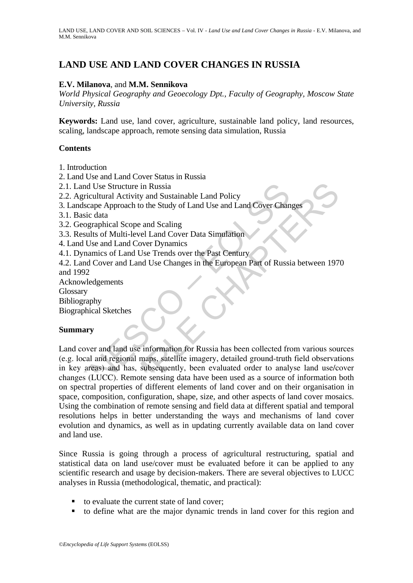# **LAND USE AND LAND COVER CHANGES IN RUSSIA**

## **E.V. Milanova**, and **M.M. Sennikova**

*World Physical Geography and Geoecology Dpt., Faculty of Geography, Moscow State University, Russia*

**Keywords:** Land use, land cover, agriculture, sustainable land policy, land resources, scaling, landscape approach, remote sensing data simulation, Russia

#### **Contents**

- 1. Introduction
- 2. Land Use and Land Cover Status in Russia
- 2.1. Land Use Structure in Russia
- 2.2. Agricultural Activity and Sustainable Land Policy
- 3. Landscape Approach to the Study of Land Use and Land Cover Changes
- 3.1. Basic data
- 3.2. Geographical Scope and Scaling
- 3.3. Results of Multi-level Land Cover Data Simulation
- 4. Land Use and Land Cover Dynamics
- 4.1. Dynamics of Land Use Trends over the Past Century
- 4.2. Land Cover and Land Use Changes in the European Part of Russia between 1970 and 1992
- Acknowledgements
- Glossary
- Bibliography
- Biographical Sketches

#### **Summary**

Land Use Structure in Russia<br>
Agricultural Activity and Sustainable Land Policy<br>
andscape Approach to the Study of Land Use and Land Cover Chan<br>
Basic data<br>
Geographical Scope and Scaling<br>
Results of Multi-level Land Cover Use Structure in Russia<br>
Ultural Activity and Sustainable Land Policy<br>
Ce Approach to the Study of Land Use and Land Cover Changes<br>
Adata<br>
Adata<br>
Adata<br>
Adata<br>
So f Multi-level Land Cover Data Simulation<br>
and and Use Trend Land cover and land use information for Russia has been collected from various sources (e.g. local and regional maps, satellite imagery, detailed ground-truth field observations in key areas) and has, subsequently, been evaluated order to analyse land use/cover changes (LUCC). Remote sensing data have been used as a source of information both on spectral properties of different elements of land cover and on their organisation in space, composition, configuration, shape, size, and other aspects of land cover mosaics. Using the combination of remote sensing and field data at different spatial and temporal resolutions helps in better understanding the ways and mechanisms of land cover evolution and dynamics, as well as in updating currently available data on land cover and land use.

Since Russia is going through a process of agricultural restructuring, spatial and statistical data on land use/cover must be evaluated before it can be applied to any scientific research and usage by decision-makers. There are several objectives to LUCC analyses in Russia (methodological, thematic, and practical):

- to evaluate the current state of land cover;
- to define what are the major dynamic trends in land cover for this region and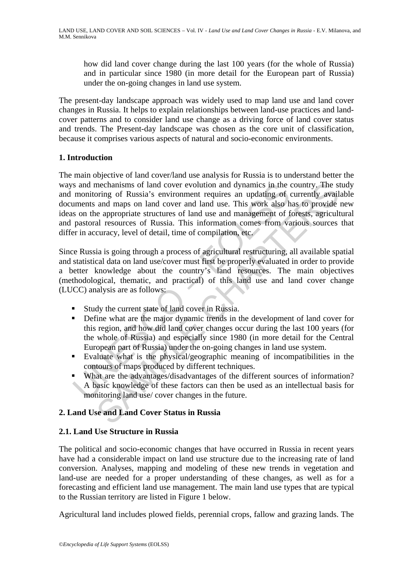how did land cover change during the last 100 years (for the whole of Russia) and in particular since 1980 (in more detail for the European part of Russia) under the on-going changes in land use system.

The present-day landscape approach was widely used to map land use and land cover changes in Russia. It helps to explain relationships between land-use practices and landcover patterns and to consider land use change as a driving force of land cover status and trends. The Present-day landscape was chosen as the core unit of classification, because it comprises various aspects of natural and socio-economic environments.

## **1. Introduction**

is and mechanisms of land cover evolution and dynamics in the monitoring of Russia's environment requires an updating of examplements and manys on land cover and land use. This work also has on the appropriate structures o mechanisms of land cover evolution and dynamics in the country. The simple of Russia's environment requires an updating of currently avail and many on land cover and land use. This work also has to provide e appropriate st The main objective of land cover/land use analysis for Russia is to understand better the ways and mechanisms of land cover evolution and dynamics in the country. The study and monitoring of Russia's environment requires an updating of currently available documents and maps on land cover and land use. This work also has to provide new ideas on the appropriate structures of land use and management of forests, agricultural and pastoral resources of Russia. This information comes from various sources that differ in accuracy, level of detail, time of compilation, etc.

Since Russia is going through a process of agricultural restructuring, all available spatial and statistical data on land use/cover must first be properly evaluated in order to provide a better knowledge about the country's land resources. The main objectives (methodological, thematic, and practical) of this land use and land cover change (LUCC) analysis are as follows:

- Study the current state of land cover in Russia.
- Define what are the major dynamic trends in the development of land cover for this region, and how did land cover changes occur during the last 100 years (for the whole of Russia) and especially since 1980 (in more detail for the Central European part of Russia) under the on-going changes in land use system.
- Evaluate what is the physical/geographic meaning of incompatibilities in the contours of maps produced by different techniques.
- What are the advantages/disadvantages of the different sources of information? A basic knowledge of these factors can then be used as an intellectual basis for monitoring land use/ cover changes in the future.

## **2. Land Use and Land Cover Status in Russia**

## **2.1. Land Use Structure in Russia**

The political and socio-economic changes that have occurred in Russia in recent years have had a considerable impact on land use structure due to the increasing rate of land conversion. Analyses, mapping and modeling of these new trends in vegetation and land-use are needed for a proper understanding of these changes, as well as for a forecasting and efficient land use management. The main land use types that are typical to the Russian territory are listed in Figure 1 below.

Agricultural land includes plowed fields, perennial crops, fallow and grazing lands. The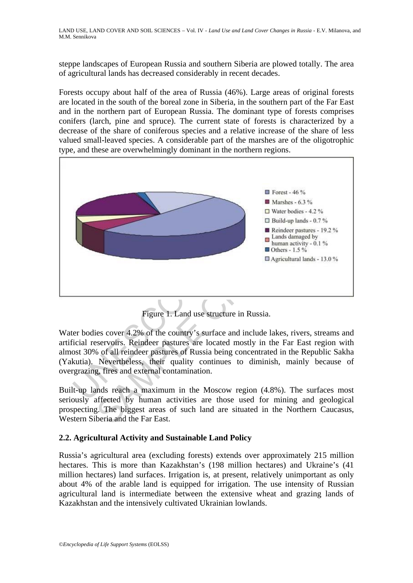steppe landscapes of European Russia and southern Siberia are plowed totally. The area of agricultural lands has decreased considerably in recent decades.

Forests occupy about half of the area of Russia (46%). Large areas of original forests are located in the south of the boreal zone in Siberia, in the southern part of the Far East and in the northern part of European Russia. The dominant type of forests comprises conifers (larch, pine and spruce). The current state of forests is characterized by a decrease of the share of coniferous species and a relative increase of the share of less valued small-leaved species. A considerable part of the marshes are of the oligotrophic type, and these are overwhelmingly dominant in the northern regions.



Figure 1. Land use structure in Russia.

Water bodies cover 4.2% of the country's surface and include lakes, rivers, streams and artificial reservoirs. Reindeer pastures are located mostly in the Far East region with almost 30% of all reindeer pastures of Russia being concentrated in the Republic Sakha (Yakutia). Nevertheless, their quality continues to diminish, mainly because of overgrazing, fires and external contamination.

Built-up lands reach a maximum in the Moscow region (4.8%). The surfaces most seriously affected by human activities are those used for mining and geological prospecting. The biggest areas of such land are situated in the Northern Caucasus, Western Siberia and the Far East.

# **2.2. Agricultural Activity and Sustainable Land Policy**

Russia's agricultural area (excluding forests) extends over approximately 215 million hectares. This is more than Kazakhstan's (198 million hectares) and Ukraine's (41 million hectares) land surfaces. Irrigation is, at present, relatively unimportant as only about 4% of the arable land is equipped for irrigation. The use intensity of Russian agricultural land is intermediate between the extensive wheat and grazing lands of Kazakhstan and the intensively cultivated Ukrainian lowlands.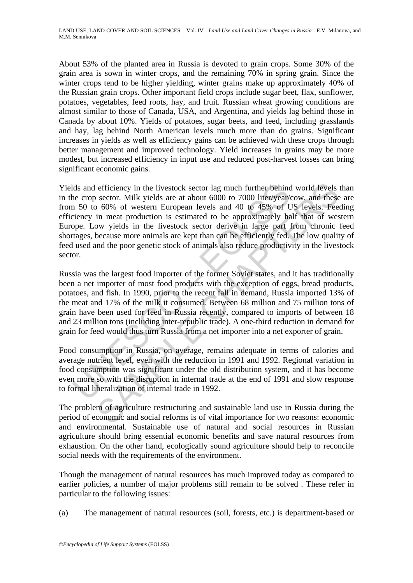About 53% of the planted area in Russia is devoted to grain crops. Some 30% of the grain area is sown in winter crops, and the remaining 70% in spring grain. Since the winter crops tend to be higher yielding, winter grains make up approximately 40% of the Russian grain crops. Other important field crops include sugar beet, flax, sunflower, potatoes, vegetables, feed roots, hay, and fruit. Russian wheat growing conditions are almost similar to those of Canada, USA, and Argentina, and yields lag behind those in Canada by about 10%. Yields of potatoes, sugar beets, and feed, including grasslands and hay, lag behind North American levels much more than do grains. Significant increases in yields as well as efficiency gains can be achieved with these crops through better management and improved technology. Yield increases in grains may be more modest, but increased efficiency in input use and reduced post-harvest losses can bring significant economic gains.

lds and efficiency in the livestock sector lag much further behind<br>ne crop sector. Milk yields are at about 6000 to 7000 liter/year/<br>n 50 to 60% of western European levels and 40 to 45% of U<br>ciency in meat production is es efficiency in the livestock sector lag much further behind world levels<br>sector. Milk yields are at about 6000 to 7000 liter/year/cow, and these<br>60% of western European levels and 40 to 45% of US levels. Fee<br>in meat product Yields and efficiency in the livestock sector lag much further behind world levels than in the crop sector. Milk yields are at about 6000 to 7000 liter/year/cow, and these are from 50 to 60% of western European levels and 40 to 45% of US levels. Feeding efficiency in meat production is estimated to be approximately half that of western Europe. Low yields in the livestock sector derive in large part from chronic feed shortages, because more animals are kept than can be efficiently fed. The low quality of feed used and the poor genetic stock of animals also reduce productivity in the livestock sector.

Russia was the largest food importer of the former Soviet states, and it has traditionally been a net importer of most food products with the exception of eggs, bread products, potatoes, and fish. In 1990, prior to the recent fall in demand, Russia imported 13% of the meat and 17% of the milk it consumed. Between 68 million and 75 million tons of grain have been used for feed in Russia recently, compared to imports of between 18 and 23 million tons (including inter-republic trade). A one-third reduction in demand for grain for feed would thus turn Russia from a net importer into a net exporter of grain.

Food consumption in Russia, on average, remains adequate in terms of calories and average nutrient level, even with the reduction in 1991 and 1992. Regional variation in food consumption was significant under the old distribution system, and it has become even more so with the disruption in internal trade at the end of 1991 and slow response to formal liberalization of internal trade in 1992.

The problem of agriculture restructuring and sustainable land use in Russia during the period of economic and social reforms is of vital importance for two reasons: economic and environmental. Sustainable use of natural and social resources in Russian agriculture should bring essential economic benefits and save natural resources from exhaustion. On the other hand, ecologically sound agriculture should help to reconcile social needs with the requirements of the environment.

Though the management of natural resources has much improved today as compared to earlier policies, a number of major problems still remain to be solved . These refer in particular to the following issues:

(a) The management of natural resources (soil, forests, etc.) is department-based or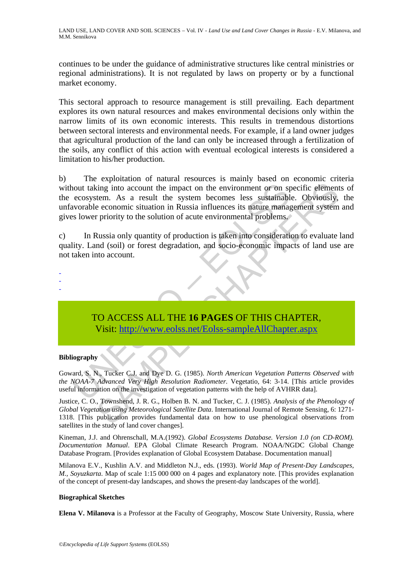continues to be under the guidance of administrative structures like central ministries or regional administrations). It is not regulated by laws on property or by a functional market economy.

This sectoral approach to resource management is still prevailing. Each department explores its own natural resources and makes environmental decisions only within the narrow limits of its own economic interests. This results in tremendous distortions between sectoral interests and environmental needs. For example, if a land owner judges that agricultural production of the land can only be increased through a fertilization of the soils, any conflict of this action with eventual ecological interests is considered a limitation to his/her production.

not taking into account the impact on the environment or on specosystem. As a result the system becomes less sustainably<br>the economic situation in Russia influences its nature manages lower priority to the solution of acut ing into account the impact on the environment or on specific element<br>tem. As a result the system becomes less sustainable. Obviously,<br>e economic situation in Russia influences its nature management system<br>priority to the b) The exploitation of natural resources is mainly based on economic criteria without taking into account the impact on the environment or on specific elements of the ecosystem. As a result the system becomes less sustainable. Obviously, the unfavorable economic situation in Russia influences its nature management system and gives lower priority to the solution of acute environmental problems.

c) In Russia only quantity of production is taken into consideration to evaluate land quality. Land (soil) or forest degradation, and socio-economic impacts of land use are not taken into account.



#### **Bibliography**

- - -

Goward, S. N., Tucker C.J. and Dye D. G. (1985). *North American Vegetation Patterns Observed with the NOAA-7 Advanced Very High Resolution Radiometer.* Vegetatio, 64: 3-14. [This article provides useful information on the investigation of vegetation patterns with the help of AVHRR data].

Justice, C. O., Townshend, J. R. G., Holben B. N. and Tucker, C. J. (1985). *Analysis of the Phenology of Global Vegetation using Meteorological Satellite Data*. International Journal of Remote Sensing, 6: 1271- 1318. [This publication provides fundamental data on how to use phenological observations from satellites in the study of land cover changes].

Kineman, J.J. and Ohrenschall, M.A.(1992). *Global Ecosystems Database. Version 1.0 (on CD-ROM). Documentation Manual*. EPA Global Climate Research Program. NOAA/NGDC Global Change Database Program. [Provides explanation of Global Ecosystem Database. Documentation manual]

Milanova E.V., Kushlin A.V. and Middleton N.J., eds. (1993). *World Map of Present-Day Landscapes, M., Soyuzkarta*. Map of scale 1:15 000 000 on 4 pages and explanatory note. [This provides explanation of the concept of present-day landscapes, and shows the present-day landscapes of the world].

#### **Biographical Sketches**

**Elena V. Milanova** is a Professor at the Faculty of Geography, Moscow State University, Russia, where